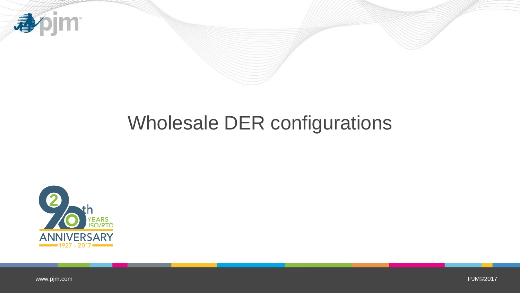

## Wholesale DER configurations



[www.pjm.com](http://www.pjm.com/)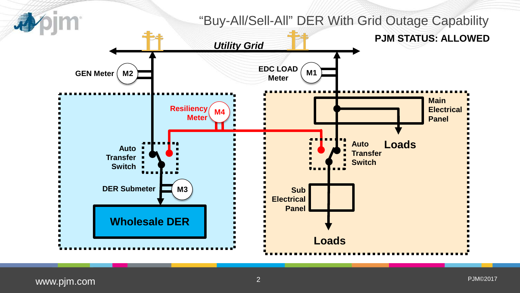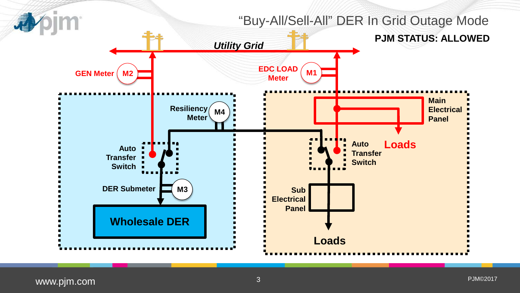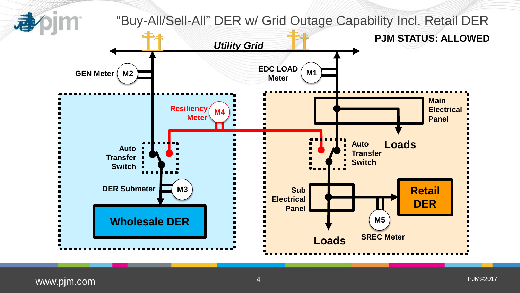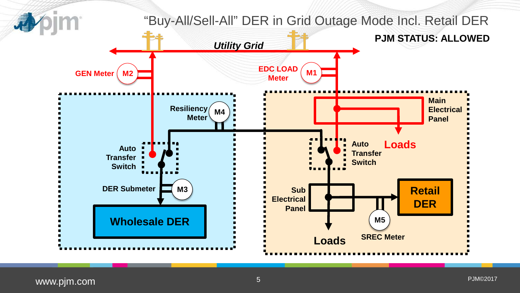

[www.pjm.](http://www.pjm.com/)com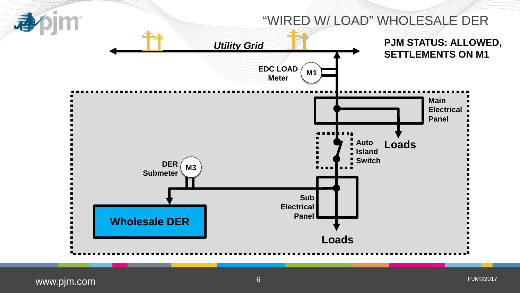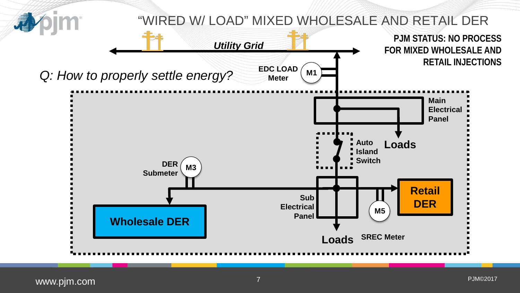